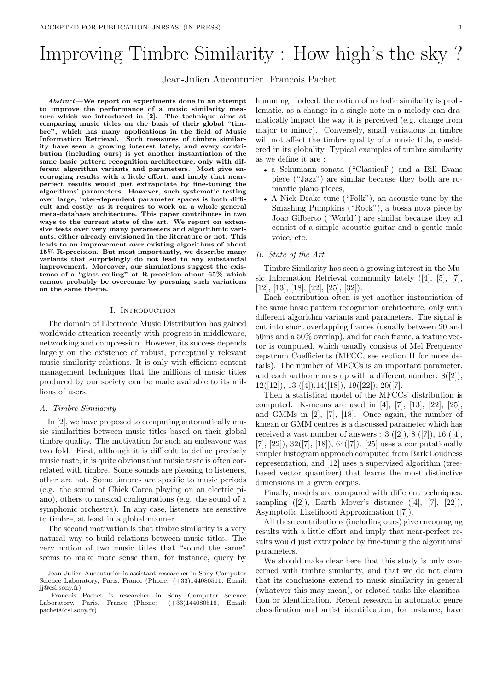# Improving Timbre Similarity : How high's the sky ?

Jean-Julien Aucouturier Francois Pachet

Abstract—We report on experiments done in an attempt to improve the performance of a music similarity measure which we introduced in [2]. The technique aims at comparing music titles on the basis of their global "timbre", which has many applications in the field of Music Information Retrieval. Such measures of timbre similarity have seen a growing interest lately, and every contribution (including ours) is yet another instantiation of the same basic pattern recognition architecture, only with different algorithm variants and parameters. Most give encouraging results with a little effort, and imply that nearperfect results would just extrapolate by fine-tuning the algorithms' parameters. However, such systematic testing over large, inter-dependent parameter spaces is both difficult and costly, as it requires to work on a whole general meta-database architecture. This paper contributes in two ways to the current state of the art. We report on extensive tests over very many parameters and algorithmic variants, either already envisioned in the literature or not. This leads to an improvement over existing algorithms of about 15% R-precision. But most importantly, we describe many variants that surprisingly do not lead to any substancial improvement. Moreover, our simulations suggest the existence of a "glass ceiling" at R-precision about 65% which cannot probably be overcome by pursuing such variations on the same theme.

## I. INTRODUCTION

The domain of Electronic Music Distribution has gained worldwide attention recently with progress in middleware, networking and compression. However, its success depends largely on the existence of robust, perceptually relevant music similarity relations. It is only with efficient content management techniques that the millions of music titles produced by our society can be made available to its millions of users.

#### A. Timbre Similarity

In [2], we have proposed to computing automatically music similarities between music titles based on their global timbre quality. The motivation for such an endeavour was two fold. First, although it is difficult to define precisely music taste, it is quite obvious that music taste is often correlated with timbre. Some sounds are pleasing to listeners, other are not. Some timbres are specific to music periods (e.g. the sound of Chick Corea playing on an electric piano), others to musical configurations (e.g. the sound of a symphonic orchestra). In any case, listeners are sensitive to timbre, at least in a global manner.

The second motivation is that timbre similarity is a very natural way to build relations between music titles. The very notion of two music titles that "sound the same" seems to make more sense than, for instance, query by humming. Indeed, the notion of melodic similarity is problematic, as a change in a single note in a melody can dramatically impact the way it is perceived (e.g. change from major to minor). Conversely, small variations in timbre will not affect the timbre quality of a music title, considered in its globality. Typical examples of timbre similarity as we define it are :

- a Schumann sonata ("Classical") and a Bill Evans piece ("Jazz") are similar because they both are romantic piano pieces,
- A Nick Drake tune ("Folk"), an acoustic tune by the Smashing Pumpkins ("Rock"), a bossa nova piece by Joao Gilberto ("World") are similar because they all consist of a simple acoustic guitar and a gentle male voice, etc.

## B. State of the Art

Timbre Similarity has seen a growing interest in the Music Information Retrieval community lately ([4], [5], [7], [12], [13], [18], [22], [25], [32]).

Each contribution often is yet another instantiation of the same basic pattern recognition architecture, only with different algorithm variants and parameters. The signal is cut into short overlapping frames (usually between 20 and 50ms and a 50% overlap), and for each frame, a feature vector is computed, which usually consists of Mel Frequency cepstrum Coefficients (MFCC, see section II for more details). The number of MFCCs is an important parameter, and each author comes up with a different number: 8([2]),  $12([12]), 13([4]), 14([18]), 19([22]), 20([7].$ 

Then a statistical model of the MFCCs' distribution is computed. K-means are used in [4], [7], [13], [22], [25], and GMMs in [2], [7], [18]. Once again, the number of kmean or GMM centres is a discussed parameter which has received a vast number of answers :  $3 ([2]), 8 ([7]), 16 ([4],$  $[7], [22], 32([7], [18]), 64([7]).$  [25] uses a computationally simpler histogram approach computed from Bark Loudness representation, and [12] uses a supervised algorithm (treebased vector quantizer) that learns the most distinctive dimensions in a given corpus.

Finally, models are compared with different techniques: sampling  $([2])$ , Earth Mover's distance  $([4], [7], [22])$ , Asymptotic Likelihood Approximation ([7]).

All these contributions (including ours) give encouraging results with a little effort and imply that near-perfect results would just extrapolate by fine-tuning the algorithms' parameters.

We should make clear here that this study is only concerned with timbre similarity, and that we do not claim that its conclusions extend to music similarity in general (whatever this may mean), or related tasks like classification or identification. Recent research in automatic genre classification and artist identification, for instance, have

Jean-Julien Aucouturier is assistant researcher in Sony Computer Science Laboratory, Paris, France (Phone:  $(+33)144080511$ , Email: jj@csl.sony.fr)

Francois Pachet is researcher in Sony Computer Science<br>Laboratory, Paris, France (Phone:  $(+33)144080516$ , Email: Paris, France (Phone:  $(+33)144080516$ , Email: pachet@csl.sony.fr)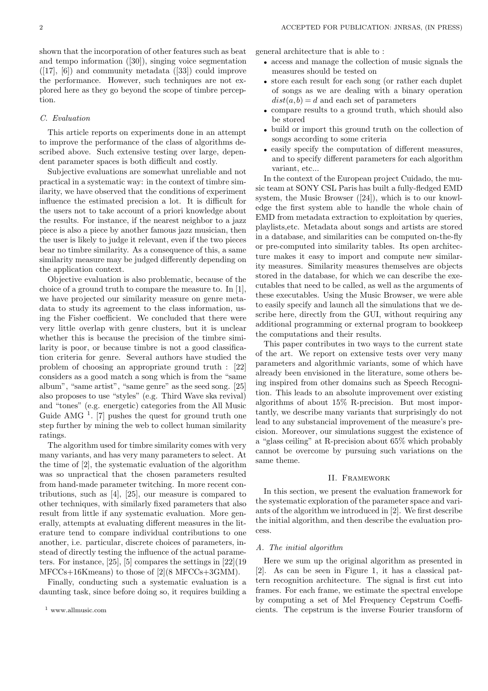shown that the incorporation of other features such as beat and tempo information ([30]), singing voice segmentation  $([17], [6])$  and community metadata  $([33])$  could improve the performance. However, such techniques are not explored here as they go beyond the scope of timbre perception.

## C. Evaluation

This article reports on experiments done in an attempt to improve the performance of the class of algorithms described above. Such extensive testing over large, dependent parameter spaces is both difficult and costly.

Subjective evaluations are somewhat unreliable and not practical in a systematic way: in the context of timbre similarity, we have observed that the conditions of experiment influence the estimated precision a lot. It is difficult for the users not to take account of a priori knowledge about the results. For instance, if the nearest neighbor to a jazz piece is also a piece by another famous jazz musician, then the user is likely to judge it relevant, even if the two pieces bear no timbre similarity. As a consequence of this, a same similarity measure may be judged differently depending on the application context.

Objective evaluation is also problematic, because of the choice of a ground truth to compare the measure to. In [1], we have projected our similarity measure on genre metadata to study its agreement to the class information, using the Fisher coefficient. We concluded that there were very little overlap with genre clusters, but it is unclear whether this is because the precision of the timbre similarity is poor, or because timbre is not a good classification criteria for genre. Several authors have studied the problem of choosing an appropriate ground truth : [22] considers as a good match a song which is from the "same album", "same artist", "same genre" as the seed song. [25] also proposes to use "styles" (e.g. Third Wave ska revival) and "tones" (e.g. energetic) categories from the All Music Guide AMG  $<sup>1</sup>$ . [7] pushes the quest for ground truth one</sup> step further by mining the web to collect human similarity ratings.

The algorithm used for timbre similarity comes with very many variants, and has very many parameters to select. At the time of [2], the systematic evaluation of the algorithm was so unpractical that the chosen parameters resulted from hand-made parameter twitching. In more recent contributions, such as [4], [25], our measure is compared to other techniques, with similarly fixed parameters that also result from little if any systematic evaluation. More generally, attempts at evaluating different measures in the literature tend to compare individual contributions to one another, i.e. particular, discrete choices of parameters, instead of directly testing the influence of the actual parameters. For instance, [25], [5] compares the settings in [22](19 MFCCs+16Kmeans) to those of [2](8 MFCCs+3GMM).

Finally, conducting such a systematic evaluation is a daunting task, since before doing so, it requires building a general architecture that is able to :

- access and manage the collection of music signals the measures should be tested on
- store each result for each song (or rather each duplet of songs as we are dealing with a binary operation  $dist(a, b) = d$  and each set of parameters
- compare results to a ground truth, which should also be stored
- build or import this ground truth on the collection of songs according to some criteria
- easily specify the computation of different measures. and to specify different parameters for each algorithm variant, etc...

In the context of the European project Cuidado, the music team at SONY CSL Paris has built a fully-fledged EMD system, the Music Browser ([24]), which is to our knowledge the first system able to handle the whole chain of EMD from metadata extraction to exploitation by queries, playlists,etc. Metadata about songs and artists are stored in a database, and similarities can be computed on-the-fly or pre-computed into similarity tables. Its open architecture makes it easy to import and compute new similarity measures. Similarity measures themselves are objects stored in the database, for which we can describe the executables that need to be called, as well as the arguments of these executables. Using the Music Browser, we were able to easily specify and launch all the simulations that we describe here, directly from the GUI, without requiring any additional programming or external program to bookkeep the computations and their results.

This paper contributes in two ways to the current state of the art. We report on extensive tests over very many parameters and algorithmic variants, some of which have already been envisioned in the literature, some others being inspired from other domains such as Speech Recognition. This leads to an absolute improvement over existing algorithms of about 15% R-precision. But most importantly, we describe many variants that surprisingly do not lead to any substancial improvement of the measure's precision. Moreover, our simulations suggest the existence of a "glass ceiling" at R-precision about 65% which probably cannot be overcome by pursuing such variations on the same theme.

#### II. Framework

In this section, we present the evaluation framework for the systematic exploration of the parameter space and variants of the algorithm we introduced in [2]. We first describe the initial algorithm, and then describe the evaluation process.

#### A. The initial algorithm

Here we sum up the original algorithm as presented in [2]. As can be seen in Figure 1, it has a classical pattern recognition architecture. The signal is first cut into frames. For each frame, we estimate the spectral envelope by computing a set of Mel Frequency Cepstrum Coefficients. The cepstrum is the inverse Fourier transform of

<sup>1</sup> www.allmusic.com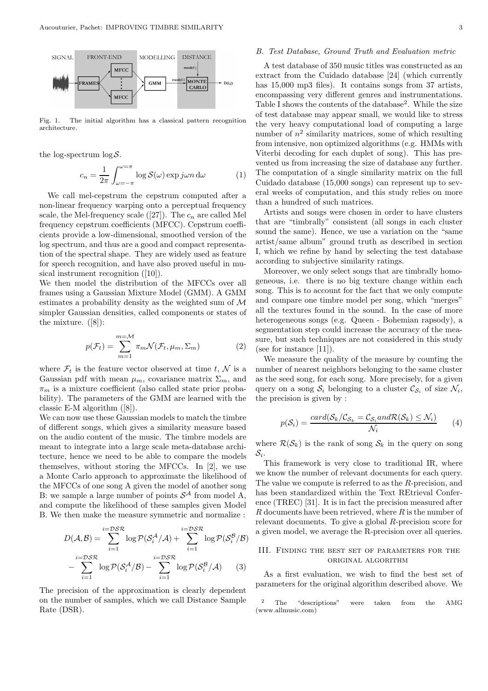

Fig. 1. The initial algorithm has a classical pattern recognition architecture.

the log-spectrum  $\log S$ .

$$
c_n = \frac{1}{2\pi} \int_{\omega=-\pi}^{\omega=\pi} \log \mathcal{S}(\omega) \exp j\omega n \,d\omega \tag{1}
$$

We call mel-cepstrum the cepstrum computed after a non-linear frequency warping onto a perceptual frequency scale, the Mel-frequency scale ([27]). The  $c_n$  are called Mel frequency cepstrum coefficients (MFCC). Cepstrum coefficients provide a low-dimensional, smoothed version of the log spectrum, and thus are a good and compact representation of the spectral shape. They are widely used as feature for speech recognition, and have also proved useful in musical instrument recognition ([10]).

We then model the distribution of the MFCCs over all frames using a Gaussian Mixture Model (GMM). A GMM estimates a probability density as the weighted sum of M simpler Gaussian densities, called components or states of the mixture. ([8]):

$$
p(\mathcal{F}_t) = \sum_{m=1}^{m=\mathcal{M}} \pi_m \mathcal{N}(\mathcal{F}_t, \mu_m, \Sigma_m)
$$
 (2)

where  $\mathcal{F}_t$  is the feature vector observed at time t, N is a Gaussian pdf with mean  $\mu_m$ , covariance matrix  $\Sigma_m$ , and  $\pi_m$  is a mixture coefficient (also called state prior probability). The parameters of the GMM are learned with the classic E-M algorithm ([8]).

We can now use these Gaussian models to match the timbre of different songs, which gives a similarity measure based on the audio content of the music. The timbre models are meant to integrate into a large scale meta-database architecture, hence we need to be able to compare the models themselves, without storing the MFCCs. In [2], we use a Monte Carlo approach to approximate the likelihood of the MFCCs of one song A given the model of another song B: we sample a large number of points  $S^{\mathcal{A}}$  from model A, and compute the likelihood of these samples given Model B. We then make the measure symmetric and normalize :

$$
D(\mathcal{A}, \mathcal{B}) = \sum_{i=1}^{i=D\mathcal{S}\mathcal{R}} \log \mathcal{P}(\mathcal{S}_i^{\mathcal{A}}/\mathcal{A}) + \sum_{i=1}^{i=D\mathcal{S}\mathcal{R}} \log \mathcal{P}(\mathcal{S}_i^{\mathcal{B}}/\mathcal{B})
$$

$$
- \sum_{i=1}^{i=D\mathcal{S}\mathcal{R}} \log \mathcal{P}(\mathcal{S}_i^{\mathcal{A}}/\mathcal{B}) - \sum_{i=1}^{i=D\mathcal{S}\mathcal{R}} \log \mathcal{P}(\mathcal{S}_i^{\mathcal{B}}/\mathcal{A}) \qquad (3)
$$

The precision of the approximation is clearly dependent on the number of samples, which we call Distance Sample Rate (DSR).

## B. Test Database, Ground Truth and Evaluation metric

A test database of 350 music titles was constructed as an extract from the Cuidado database [24] (which currently has 15,000 mp3 files). It contains songs from 37 artists, encompassing very different genres and instrumentations. Table I shows the contents of the database<sup>2</sup>. While the size of test database may appear small, we would like to stress the very heavy computational load of computing a large number of  $n^2$  similarity matrices, some of which resulting from intensive, non optimized algorithms (e.g. HMMs with Viterbi decoding for each duplet of song). This has prevented us from increasing the size of database any further. The computation of a single similarity matrix on the full Cuidado database (15,000 songs) can represent up to several weeks of computation, and this study relies on more than a hundred of such matrices.

Artists and songs were chosen in order to have clusters that are "timbrally" consistent (all songs in each cluster sound the same). Hence, we use a variation on the "same artist/same album" ground truth as described in section I, which we refine by hand by selecting the test database according to subjective similarity ratings.

Moreover, we only select songs that are timbrally homogeneous, i.e. there is no big texture change within each song. This is to account for the fact that we only compute and compare one timbre model per song, which "merges" all the textures found in the sound. In the case of more heterogeneous songs (e.g. Queen - Bohemian rapsody), a segmentation step could increase the accuracy of the measure, but such techniques are not considered in this study (see for instance [11]).

We measure the quality of the measure by counting the number of nearest neighbors belonging to the same cluster as the seed song, for each song. More precisely, for a given query on a song  $S_i$  belonging to a cluster  $\mathcal{C}_{S_i}$  of size  $\mathcal{N}_i$ , the precision is given by :

$$
p(S_i) = \frac{card(S_k/C_{S_k} = C_{S_i} and R(S_k) \le N_i)}{N_i}
$$
 (4)

where  $\mathcal{R}(\mathcal{S}_k)$  is the rank of song  $\mathcal{S}_k$  in the query on song  $\mathcal{S}_i.$ 

This framework is very close to traditional IR, where we know the number of relevant documents for each query. The value we compute is referred to as the R-precision, and has been standardized within the Text REtrieval Conference (TREC) [31]. It is in fact the precision measured after  $R$  documents have been retrieved, where  $R$  is the number of relevant documents. To give a global R-precision score for a given model, we average the R-precision over all queries.

## III. Finding the best set of parameters for the original algorithm

As a first evaluation, we wish to find the best set of parameters for the original algorithm described above. We

<sup>2</sup> The "descriptions" were taken from the AMG (www.allmusic.com)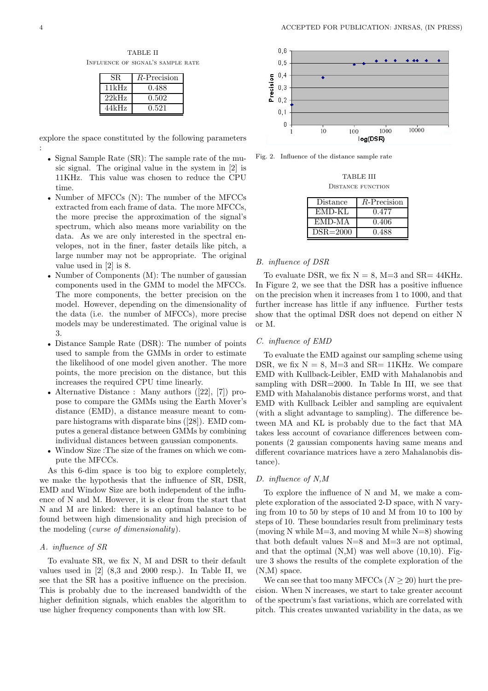TABLE II Influence of signal's sample rate

| SR.   | $R$ -Precision |
|-------|----------------|
| 11kHz | 0.488          |
| 22kHz | 0.502          |
| 44kHz | 0.521          |

explore the space constituted by the following parameters :

- Signal Sample Rate (SR): The sample rate of the music signal. The original value in the system in [2] is 11KHz. This value was chosen to reduce the CPU time.
- Number of MFCCs (N): The number of the MFCCs extracted from each frame of data. The more MFCCs, the more precise the approximation of the signal's spectrum, which also means more variability on the data. As we are only interested in the spectral envelopes, not in the finer, faster details like pitch, a large number may not be appropriate. The original value used in [2] is 8.
- Number of Components (M): The number of gaussian components used in the GMM to model the MFCCs. The more components, the better precision on the model. However, depending on the dimensionality of the data (i.e. the number of MFCCs), more precise models may be underestimated. The original value is 3.
- Distance Sample Rate (DSR): The number of points used to sample from the GMMs in order to estimate the likelihood of one model given another. The more points, the more precision on the distance, but this increases the required CPU time linearly.
- Alternative Distance : Many authors ([22], [7]) propose to compare the GMMs using the Earth Mover's distance (EMD), a distance measure meant to compare histograms with disparate bins ([28]). EMD computes a general distance between GMMs by combining individual distances between gaussian components.
- Window Size :The size of the frames on which we compute the MFCCs.

As this 6-dim space is too big to explore completely, we make the hypothesis that the influence of SR, DSR, EMD and Window Size are both independent of the influence of N and M. However, it is clear from the start that N and M are linked: there is an optimal balance to be found between high dimensionality and high precision of the modeling (curse of dimensionality).

## A. influence of SR

To evaluate SR, we fix N, M and DSR to their default values used in [2] (8,3 and 2000 resp.). In Table II, we see that the SR has a positive influence on the precision. This is probably due to the increased bandwidth of the higher definition signals, which enables the algorithm to use higher frequency components than with low SR.



Fig. 2. Influence of the distance sample rate

| TABLE III                |  |
|--------------------------|--|
| <b>DISTANCE FUNCTION</b> |  |

| Distance     | R-Precision |
|--------------|-------------|
| EMD-KL       | 0.477       |
| EMD-MA       | 0.406       |
| $DSR = 2000$ | 0.488       |

#### B. influence of DSR

To evaluate DSR, we fix  $N = 8$ ,  $M=3$  and  $SR = 44KHz$ . In Figure 2, we see that the DSR has a positive influence on the precision when it increases from 1 to 1000, and that further increase has little if any influence. Further tests show that the optimal DSR does not depend on either N or M.

## C. influence of EMD

To evaluate the EMD against our sampling scheme using DSR, we fix  $N = 8$ , M=3 and SR= 11KHz. We compare EMD with Kullback-Leibler, EMD with Mahalanobis and sampling with DSR=2000. In Table In III, we see that EMD with Mahalanobis distance performs worst, and that EMD with Kullback Leibler and sampling are equivalent (with a slight advantage to sampling). The difference between MA and KL is probably due to the fact that MA takes less account of covariance differences between components (2 gaussian components having same means and different covariance matrices have a zero Mahalanobis distance).

# D. influence of N,M

To explore the influence of N and M, we make a complete exploration of the associated 2-D space, with N varying from 10 to 50 by steps of 10 and M from 10 to 100 by steps of 10. These boundaries result from preliminary tests (moving N while  $M=3$ , and moving M while  $N=8$ ) showing that both default values  $N=8$  and  $M=3$  are not optimal, and that the optimal  $(N,M)$  was well above  $(10,10)$ . Figure 3 shows the results of the complete exploration of the (N,M) space.

We can see that too many MFCCs  $(N > 20)$  hurt the precision. When N increases, we start to take greater account of the spectrum's fast variations, which are correlated with pitch. This creates unwanted variability in the data, as we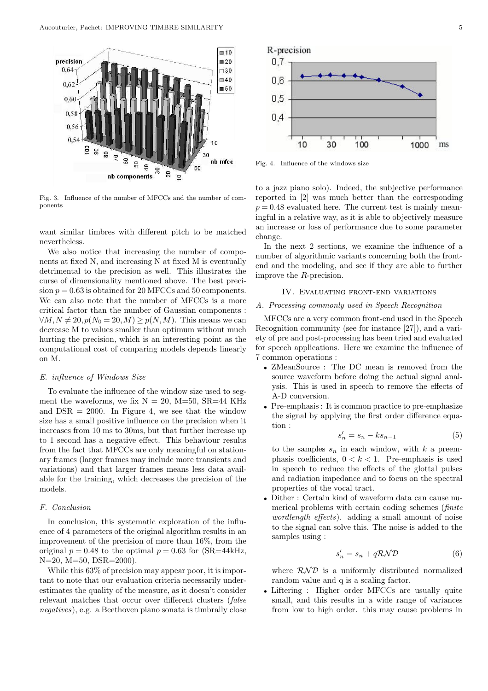

Fig. 3. Influence of the number of MFCCs and the number of components

want similar timbres with different pitch to be matched nevertheless.

We also notice that increasing the number of components at fixed N, and increasing N at fixed M is eventually detrimental to the precision as well. This illustrates the curse of dimensionality mentioned above. The best precision  $p = 0.63$  is obtained for 20 MFCCs and 50 components. We can also note that the number of MFCCs is a more critical factor than the number of Gaussian components :  $\forall M, N \neq 20, p(N_0 = 20, M) > p(N, M)$ . This means we can decrease M to values smaller than optimum without much hurting the precision, which is an interesting point as the computational cost of comparing models depends linearly on M.

## E. influence of Windows Size

To evaluate the influence of the window size used to segment the waveforms, we fix  $N = 20$ ,  $M=50$ ,  $SR=44$  KHz and  $DSR = 2000$ . In Figure 4, we see that the window size has a small positive influence on the precision when it increases from 10 ms to 30ms, but that further increase up to 1 second has a negative effect. This behaviour results from the fact that MFCCs are only meaningful on stationary frames (larger frames may include more transients and variations) and that larger frames means less data available for the training, which decreases the precision of the models.

# F. Conclusion

In conclusion, this systematic exploration of the influence of 4 parameters of the original algorithm results in an improvement of the precision of more than 16%, from the original  $p = 0.48$  to the optimal  $p = 0.63$  for (SR=44kHz, N=20, M=50, DSR=2000).

While this  $63\%$  of precision may appear poor, it is important to note that our evaluation criteria necessarily underestimates the quality of the measure, as it doesn't consider relevant matches that occur over different clusters (false negatives), e.g. a Beethoven piano sonata is timbrally close



Fig. 4. Influence of the windows size

to a jazz piano solo). Indeed, the subjective performance reported in [2] was much better than the corresponding  $p = 0.48$  evaluated here. The current test is mainly meaningful in a relative way, as it is able to objectively measure an increase or loss of performance due to some parameter change.

In the next 2 sections, we examine the influence of a number of algorithmic variants concerning both the frontend and the modeling, and see if they are able to further improve the R-precision.

## IV. Evaluating front-end variations

### A. Processing commonly used in Speech Recognition

MFCCs are a very common front-end used in the Speech Recognition community (see for instance [27]), and a variety of pre and post-processing has been tried and evaluated for speech applications. Here we examine the influence of 7 common operations :

- ZMeanSource : The DC mean is removed from the source waveform before doing the actual signal analysis. This is used in speech to remove the effects of A-D conversion.
- Pre-emphasis : It is common practice to pre-emphasize the signal by applying the first order difference equation :

$$
s_n' = s_n - k s_{n-1} \tag{5}
$$

to the samples  $s_n$  in each window, with k a preemphasis coefficients,  $0 < k < 1$ . Pre-emphasis is used in speech to reduce the effects of the glottal pulses and radiation impedance and to focus on the spectral properties of the vocal tract.

• Dither : Certain kind of waveform data can cause numerical problems with certain coding schemes (finite wordlength effects). adding a small amount of noise to the signal can solve this. The noise is added to the samples using :

$$
s_n' = s_n + q\mathcal{RND} \tag{6}
$$

where  $RND$  is a uniformly distributed normalized random value and q is a scaling factor.

• Liftering : Higher order MFCCs are usually quite small, and this results in a wide range of variances from low to high order. this may cause problems in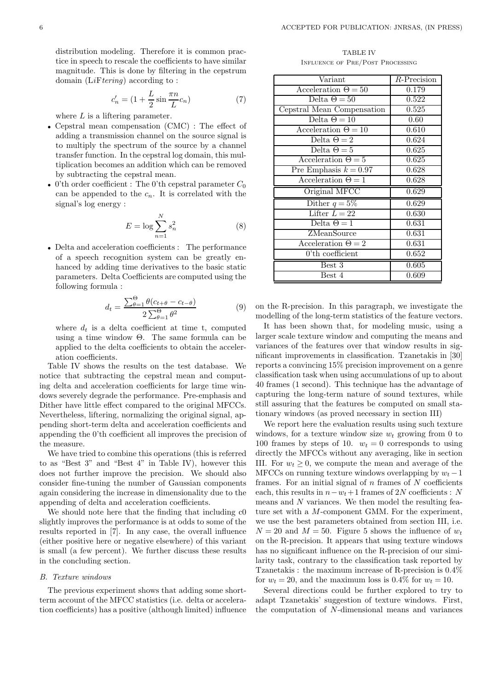distribution modeling. Therefore it is common practice in speech to rescale the coefficients to have similar magnitude. This is done by filtering in the cepstrum domain  $(LiFterina)$  according to:

$$
c'_n = (1 + \frac{L}{2}\sin\frac{\pi n}{L}c_n) \tag{7}
$$

where  $L$  is a liftering parameter.

- Cepstral mean compensation (CMC) : The effect of adding a transmission channel on the source signal is to multiply the spectrum of the source by a channel transfer function. In the cepstral log domain, this multiplication becomes an addition which can be removed by subtracting the cepstral mean.
- 0'th order coefficient : The 0'th cepstral parameter  $C_0$ can be appended to the  $c_n$ . It is correlated with the signal's log energy :

$$
E = \log \sum_{n=1}^{N} s_n^2 \tag{8}
$$

• Delta and acceleration coefficients : The performance of a speech recognition system can be greatly enhanced by adding time derivatives to the basic static parameters. Delta Coefficients are computed using the following formula :

$$
d_t = \frac{\sum_{\theta=1}^{0} \theta(c_{t+\theta} - c_{t-\theta})}{2 \sum_{\theta=1}^{0} \theta^2}
$$
 (9)

where  $d_t$  is a delta coefficient at time t, computed using a time window  $\Theta$ . The same formula can be applied to the delta coefficients to obtain the acceleration coefficients.

Table IV shows the results on the test database. We notice that subtracting the cepstral mean and computing delta and acceleration coefficients for large time windows severely degrade the performance. Pre-emphasis and Dither have little effect compared to the original MFCCs. Nevertheless, liftering, normalizing the original signal, appending short-term delta and acceleration coefficients and appending the 0'th coefficient all improves the precision of the measure.

We have tried to combine this operations (this is referred to as "Best 3" and "Best 4" in Table IV), however this does not further improve the precision. We should also consider fine-tuning the number of Gaussian components again considering the increase in dimensionality due to the appending of delta and acceleration coefficients.

We should note here that the finding that including  $c0$ slightly improves the performance is at odds to some of the results reported in [7]. In any case, the overall influence (either positive here or negative elsewhere) of this variant is small (a few percent). We further discuss these results in the concluding section.

#### B. Texture windows

The previous experiment shows that adding some shortterm account of the MFCC statistics (i.e. delta or acceleration coefficients) has a positive (although limited) influence

TABLE IV Influence of Pre/Post Processing

| Variant                    | $R$ -Precision |
|----------------------------|----------------|
| Acceleration $\Theta = 50$ | 0.179          |
| Delta $\Theta = 50$        | 0.522          |
| Cepstral Mean Compensation | 0.525          |
| Delta $\Theta = 10$        | 0.60           |
| Acceleration $\Theta = 10$ | 0.610          |
| Delta $\Theta = 2$         | 0.624          |
| Delta $\Theta = 5$         | 0.625          |
| Acceleration $\Theta = 5$  | 0.625          |
| Pre Emphasis $k = 0.97$    | 0.628          |
| Acceleration $\Theta = 1$  | 0.628          |
| Original MFCC              | 0.629          |
| Dither $q = 5\%$           | 0.629          |
| Lifter $L = 22$            | 0.630          |
| Delta $\Theta = 1$         | 0.631          |
| ZMeanSource                | 0.631          |
| Acceleration $\Theta = 2$  | 0.631          |
| $0$ 'th coefficient        | 0.652          |
| Best 3                     | 0.605          |
| Best 4                     | 0.609          |

on the R-precision. In this paragraph, we investigate the modelling of the long-term statistics of the feature vectors.

It has been shown that, for modeling music, using a larger scale texture window and computing the means and variances of the features over that window results in significant improvements in classification. Tzanetakis in [30] reports a convincing 15% precision improvement on a genre classification task when using accumulations of up to about 40 frames (1 second). This technique has the advantage of capturing the long-term nature of sound textures, while still assuring that the features be computed on small stationary windows (as proved necessary in section III)

We report here the evaluation results using such texture windows, for a texture window size  $w_t$  growing from 0 to 100 frames by steps of 10.  $w_t = 0$  corresponds to using directly the MFCCs without any averaging, like in section III. For  $w_t \geq 0$ , we compute the mean and average of the MFCCs on running texture windows overlapping by  $w_t - 1$ frames. For an initial signal of  $n$  frames of  $N$  coefficients each, this results in  $n-w_t+1$  frames of 2N coefficients : N means and N variances. We then model the resulting feature set with a M-component GMM. For the experiment, we use the best parameters obtained from section III, i.e.  $N = 20$  and  $M = 50$ . Figure 5 shows the influence of  $w_t$ on the R-precision. It appears that using texture windows has no significant influence on the R-precision of our similarity task, contrary to the classification task reported by Tzanetakis : the maximum increase of R-precision is 0.4% for  $w_t = 20$ , and the maximum loss is 0.4% for  $w_t = 10$ .

Several directions could be further explored to try to adapt Tzanetakis' suggestion of texture windows. First, the computation of N-dimensional means and variances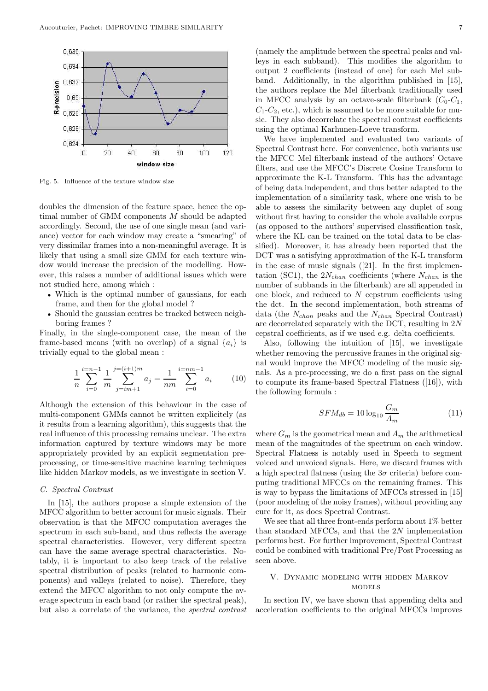

Fig. 5. Influence of the texture window size

doubles the dimension of the feature space, hence the optimal number of GMM components M should be adapted accordingly. Second, the use of one single mean (and variance) vector for each window may create a "smearing" of very dissimilar frames into a non-meaningful average. It is likely that using a small size GMM for each texture window would increase the precision of the modelling. However, this raises a number of additional issues which were not studied here, among which :

- Which is the optimal number of gaussians, for each frame, and then for the global model ?
- Should the gaussian centres be tracked between neighboring frames ?

Finally, in the single-component case, the mean of the frame-based means (with no overlap) of a signal  $\{a_i\}$  is trivially equal to the global mean :

$$
\frac{1}{n} \sum_{i=0}^{i=n-1} \frac{1}{m} \sum_{j=im+1}^{j=(i+1)m} a_j = \frac{1}{nm} \sum_{i=0}^{i=nm-1} a_i \qquad (10)
$$

Although the extension of this behaviour in the case of multi-component GMMs cannot be written explicitely (as it results from a learning algorithm), this suggests that the real influence of this processing remains unclear. The extra information captured by texture windows may be more appropriately provided by an explicit segmentation preprocessing, or time-sensitive machine learning techniques like hidden Markov models, as we investigate in section V.

# C. Spectral Contrast

In [15], the authors propose a simple extension of the MFCC algorithm to better account for music signals. Their observation is that the MFCC computation averages the spectrum in each sub-band, and thus reflects the average spectral characteristics. However, very different spectra can have the same average spectral characteristics. Notably, it is important to also keep track of the relative spectral distribution of peaks (related to harmonic components) and valleys (related to noise). Therefore, they extend the MFCC algorithm to not only compute the average spectrum in each band (or rather the spectral peak), but also a correlate of the variance, the spectral contrast (namely the amplitude between the spectral peaks and valleys in each subband). This modifies the algorithm to output 2 coefficients (instead of one) for each Mel subband. Additionally, in the algorithm published in [15], the authors replace the Mel filterbank traditionally used in MFCC analysis by an octave-scale filterbank  $(C_0-C_1,$  $C_1$ - $C_2$ , etc.), which is assumed to be more suitable for music. They also decorrelate the spectral contrast coefficients using the optimal Karhunen-Loeve transform.

We have implemented and evaluated two variants of Spectral Contrast here. For convenience, both variants use the MFCC Mel filterbank instead of the authors' Octave filters, and use the MFCC's Discrete Cosine Transform to approximate the K-L Transform. This has the advantage of being data independent, and thus better adapted to the implementation of a similarity task, where one wish to be able to assess the similarity between any duplet of song without first having to consider the whole available corpus (as opposed to the authors' supervised classification task, where the KL can be trained on the total data to be classified). Moreover, it has already been reported that the DCT was a satisfying approximation of the K-L transform in the case of music signals  $(21)$ . In the first implementation (SC1), the  $2N_{chan}$  coefficients (where  $N_{chan}$  is the number of subbands in the filterbank) are all appended in one block, and reduced to  $N$  cepstrum coefficients using the dct. In the second implementation, both streams of data (the  $N_{chan}$  peaks and the  $N_{chan}$  Spectral Contrast) are decorrelated separately with the DCT, resulting in 2N cepstral coefficients, as if we used e.g. delta coefficients.

Also, following the intuition of [15], we investigate whether removing the percussive frames in the original signal would improve the MFCC modeling of the music signals. As a pre-processing, we do a first pass on the signal to compute its frame-based Spectral Flatness ([16]), with the following formula :

$$
SFM_{db} = 10\log_{10}\frac{G_m}{A_m} \tag{11}
$$

where  $G_m$  is the geometrical mean and  $A_m$  the arithmetical mean of the magnitudes of the spectrum on each window. Spectral Flatness is notably used in Speech to segment voiced and unvoiced signals. Here, we discard frames with a high spectral flatness (using the  $3\sigma$  criteria) before computing traditional MFCCs on the remaining frames. This is way to bypass the limitations of MFCCs stressed in [15] (poor modeling of the noisy frames), without providing any cure for it, as does Spectral Contrast.

We see that all three front-ends perform about 1% better than standard MFCCs, and that the 2N implementation performs best. For further improvement, Spectral Contrast could be combined with traditional Pre/Post Processing as seen above.

# V. Dynamic modeling with hidden Markov models

In section IV, we have shown that appending delta and acceleration coefficients to the original MFCCs improves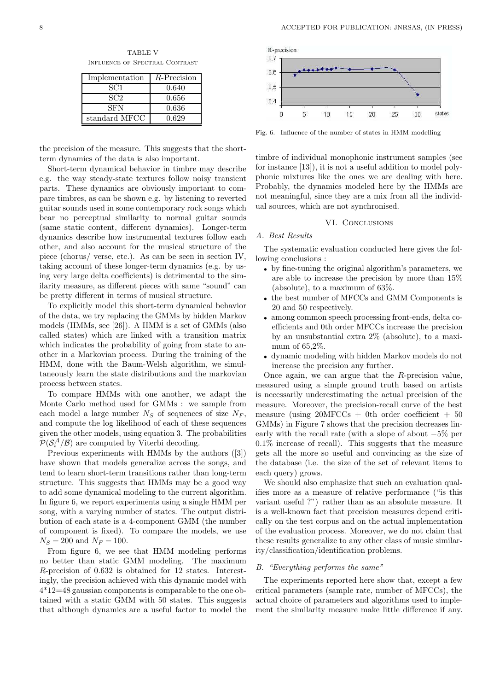TABLE V Influence of Spectral Contrast

| Implementation | $R$ -Precision |
|----------------|----------------|
| SC1            | 0.640          |
| SC2            | 0.656          |
| SFN            | 0.636          |
| standard MFCC  | 0.629          |

the precision of the measure. This suggests that the shortterm dynamics of the data is also important.

Short-term dynamical behavior in timbre may describe e.g. the way steady-state textures follow noisy transient parts. These dynamics are obviously important to compare timbres, as can be shown e.g. by listening to reverted guitar sounds used in some contemporary rock songs which bear no perceptual similarity to normal guitar sounds (same static content, different dynamics). Longer-term dynamics describe how instrumental textures follow each other, and also account for the musical structure of the piece (chorus/ verse, etc.). As can be seen in section IV, taking account of these longer-term dynamics (e.g. by using very large delta coefficients) is detrimental to the similarity measure, as different pieces with same "sound" can be pretty different in terms of musical structure.

To explicitly model this short-term dynamical behavior of the data, we try replacing the GMMs by hidden Markov models (HMMs, see [26]). A HMM is a set of GMMs (also called states) which are linked with a transition matrix which indicates the probability of going from state to another in a Markovian process. During the training of the HMM, done with the Baum-Welsh algorithm, we simultaneously learn the state distributions and the markovian process between states.

To compare HMMs with one another, we adapt the Monte Carlo method used for GMMs : we sample from each model a large number  $N<sub>S</sub>$  of sequences of size  $N<sub>F</sub>$ , and compute the log likelihood of each of these sequences given the other models, using equation 3. The probabilities  $\mathcal{P}(\mathcal{S}_{i}^{\mathcal{A}}/\mathcal{B})$  are computed by Viterbi decoding.

Previous experiments with HMMs by the authors ([3]) have shown that models generalize across the songs, and tend to learn short-term transitions rather than long-term structure. This suggests that HMMs may be a good way to add some dynamical modeling to the current algorithm. In figure 6, we report experiments using a single HMM per song, with a varying number of states. The output distribution of each state is a 4-component GMM (the number of component is fixed). To compare the models, we use  $N_S = 200$  and  $N_F = 100$ .

From figure 6, we see that HMM modeling performs no better than static GMM modeling. The maximum R-precision of 0.632 is obtained for 12 states. Interestingly, the precision achieved with this dynamic model with 4\*12=48 gaussian components is comparable to the one obtained with a static GMM with 50 states. This suggests that although dynamics are a useful factor to model the



Fig. 6. Influence of the number of states in HMM modelling

timbre of individual monophonic instrument samples (see for instance [13]), it is not a useful addition to model polyphonic mixtures like the ones we are dealing with here. Probably, the dynamics modeled here by the HMMs are not meaningful, since they are a mix from all the individual sources, which are not synchronised.

## VI. CONCLUSIONS

#### A. Best Results

The systematic evaluation conducted here gives the following conclusions :

- by fine-tuning the original algorithm's parameters, we are able to increase the precision by more than 15% (absolute), to a maximum of 63%.
- the best number of MFCCs and GMM Components is 20 and 50 respectively.
- among common speech processing front-ends, delta coefficients and 0th order MFCCs increase the precision by an unsubstantial extra 2% (absolute), to a maximum of 65,2%.
- dynamic modeling with hidden Markov models do not increase the precision any further.

Once again, we can argue that the  $R$ -precision value, measured using a simple ground truth based on artists is necessarily underestimating the actual precision of the measure. Moreover, the precision-recall curve of the best measure (using  $20\text{MFCCs} + 0\text{th}$  order coefficient  $+ 50$ GMMs) in Figure 7 shows that the precision decreases linearly with the recall rate (with a slope of about −5% per 0.1% increase of recall). This suggests that the measure gets all the more so useful and convincing as the size of the database (i.e. the size of the set of relevant items to each query) grows.

We should also emphasize that such an evaluation qualifies more as a measure of relative performance ("is this variant useful ?") rather than as an absolute measure. It is a well-known fact that precision measures depend critically on the test corpus and on the actual implementation of the evaluation process. Moreover, we do not claim that these results generalize to any other class of music similarity/classification/identification problems.

#### B. "Everything performs the same"

The experiments reported here show that, except a few critical parameters (sample rate, number of MFCCs), the actual choice of parameters and algorithms used to implement the similarity measure make little difference if any.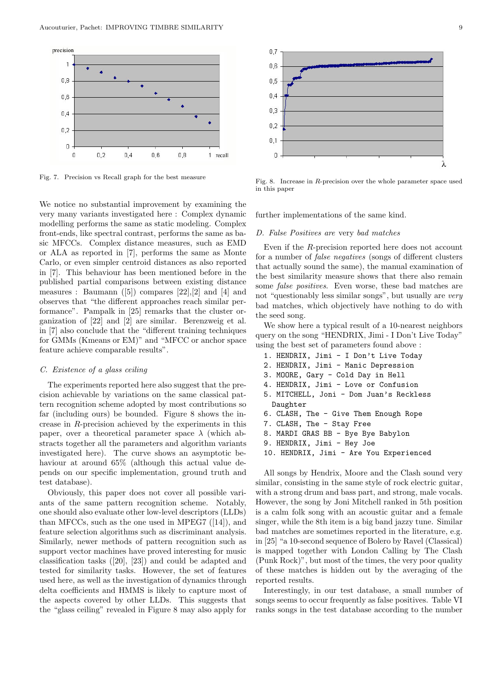

Fig. 7. Precision vs Recall graph for the best measure

We notice no substantial improvement by examining the very many variants investigated here : Complex dynamic modelling performs the same as static modeling. Complex front-ends, like spectral contrast, performs the same as basic MFCCs. Complex distance measures, such as EMD or ALA as reported in [7], performs the same as Monte Carlo, or even simpler centroid distances as also reported in [7]. This behaviour has been mentioned before in the published partial comparisons between existing distance measures : Baumann  $([5])$  compares  $[22],[2]$  and  $[4]$  and observes that "the different approaches reach similar performance". Pampalk in [25] remarks that the cluster organization of [22] and [2] are similar. Berenzweig et al. in [7] also conclude that the "different training techniques for GMMs (Kmeans or EM)" and "MFCC or anchor space feature achieve comparable results".

#### C. Existence of a glass ceiling

The experiments reported here also suggest that the precision achievable by variations on the same classical pattern recognition scheme adopted by most contributions so far (including ours) be bounded. Figure 8 shows the increase in R-precision achieved by the experiments in this paper, over a theoretical parameter space  $\lambda$  (which abstracts together all the parameters and algorithm variants investigated here). The curve shows an asymptotic behaviour at around 65% (although this actual value depends on our specific implementation, ground truth and test database).

Obviously, this paper does not cover all possible variants of the same pattern recognition scheme. Notably, one should also evaluate other low-level descriptors (LLDs) than MFCCs, such as the one used in MPEG7 ([14]), and feature selection algorithms such as discriminant analysis. Similarly, newer methods of pattern recognition such as support vector machines have proved interesting for music classification tasks ([20], [23]) and could be adapted and tested for similarity tasks. However, the set of features used here, as well as the investigation of dynamics through delta coefficients and HMMS is likely to capture most of the aspects covered by other LLDs. This suggests that the "glass ceiling" revealed in Figure 8 may also apply for



Fig. 8. Increase in R-precision over the whole parameter space used in this paper

further implementations of the same kind.

## D. False Positives are very bad matches

Even if the R-precision reported here does not account for a number of false negatives (songs of different clusters that actually sound the same), the manual examination of the best similarity measure shows that there also remain some false positives. Even worse, these bad matches are not "questionably less similar songs", but usually are very bad matches, which objectively have nothing to do with the seed song.

We show here a typical result of a 10-nearest neighbors query on the song "HENDRIX, Jimi - I Don't Live Today" using the best set of parameters found above :

- 1. HENDRIX, Jimi I Don't Live Today
- 2. HENDRIX, Jimi Manic Depression
- 3. MOORE, Gary Cold Day in Hell
- 4. HENDRIX, Jimi Love or Confusion
- 5. MITCHELL, Joni Dom Juan's Reckless Daughter
- 6. CLASH, The Give Them Enough Rope
- 7. CLASH, The Stay Free
- 8. MARDI GRAS BB Bye Bye Babylon
- 9. HENDRIX, Jimi Hey Joe
- 10. HENDRIX, Jimi Are You Experienced

All songs by Hendrix, Moore and the Clash sound very similar, consisting in the same style of rock electric guitar, with a strong drum and bass part, and strong, male vocals. However, the song by Joni Mitchell ranked in 5th position is a calm folk song with an acoustic guitar and a female singer, while the 8th item is a big band jazzy tune. Similar bad matches are sometimes reported in the literature, e.g. in [25] "a 10-second sequence of Bolero by Ravel (Classical) is mapped together with London Calling by The Clash (Punk Rock)", but most of the times, the very poor quality of these matches is hidden out by the averaging of the reported results.

Interestingly, in our test database, a small number of songs seems to occur frequently as false positives. Table VI ranks songs in the test database according to the number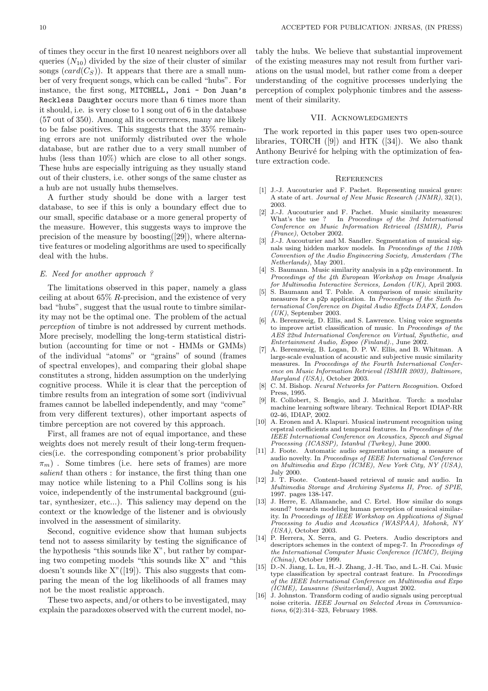of times they occur in the first 10 nearest neighbors over all queries  $(N_{10})$  divided by the size of their cluster of similar songs  $(card(C<sub>S</sub>))$ . It appears that there are a small number of very frequent songs, which can be called "hubs". For instance, the first song, MITCHELL, Joni - Don Juan's Reckless Daughter occurs more than 6 times more than it should, i.e. is very close to 1 song out of 6 in the database (57 out of 350). Among all its occurrences, many are likely to be false positives. This suggests that the 35% remaining errors are not uniformly distributed over the whole database, but are rather due to a very small number of hubs (less than  $10\%$ ) which are close to all other songs. These hubs are especially intriguing as they usually stand out of their clusters, i.e. other songs of the same cluster as a hub are not usually hubs themselves.

A further study should be done with a larger test database, to see if this is only a boundary effect due to our small, specific database or a more general property of the measure. However, this suggests ways to improve the precision of the measure by boosting([29]), where alternative features or modeling algorithms are used to specifically deal with the hubs.

# E. Need for another approach ?

The limitations observed in this paper, namely a glass ceiling at about  $65\%$  R-precision, and the existence of very bad "hubs", suggest that the usual route to timbre similarity may not be the optimal one. The problem of the actual perception of timbre is not addressed by current methods. More precisely, modelling the long-term statistical distribution (accounting for time or not - HMMs or GMMs) of the individual "atoms" or "grains" of sound (frames of spectral envelopes), and comparing their global shape constitutes a strong, hidden assumption on the underlying cognitive process. While it is clear that the perception of timbre results from an integration of some sort (indivivual frames cannot be labelled independently, and may "come" from very different textures), other important aspects of timbre perception are not covered by this approach.

First, all frames are not of equal importance, and these weights does not merely result of their long-term frequencies(i.e. the corresponding component's prior probability  $\pi_m$ ). Some timbres (i.e. here sets of frames) are more salient than others : for instance, the first thing than one may notice while listening to a Phil Collins song is his voice, independently of the instrumental background (guitar, synthesizer, etc...). This saliency may depend on the context or the knowledge of the listener and is obviously involved in the assessment of similarity.

Second, cognitive evidence show that human subjects tend not to assess similarity by testing the significance of the hypothesis "this sounds like X", but rather by comparing two competing models "this sounds like X" and "this doesn't sounds like X"([19]). This also suggests that comparing the mean of the log likelihoods of all frames may not be the most realistic approach.

These two aspects, and/or others to be investigated, may explain the paradoxes observed with the current model, notably the hubs. We believe that substantial improvement of the existing measures may not result from further variations on the usual model, but rather come from a deeper understanding of the cognitive processes underlying the perception of complex polyphonic timbres and the assessment of their similarity.

### VII. Acknowledgments

The work reported in this paper uses two open-source libraries, TORCH  $([9])$  and HTK  $([34])$ . We also thank Anthony Beurivé for helping with the optimization of feature extraction code.

#### **REFERENCES**

- [1] J.-J. Aucouturier and F. Pachet. Representing musical genre: A state of art. Journal of New Music Research (JNMR), 32(1), 2003.
- [2] J.-J. Aucouturier and F. Pachet. Music similarity measures: What's the use ? In Proceedings of the 3rd International Conference on Music Information Retrieval (ISMIR), Paris (France), October 2002.
- [3] J.-J. Aucouturier and M. Sandler. Segmentation of musical signals using hidden markov models. In Proceedings of the  $110$ th Convention of the Audio Engineering Society, Amsterdam (The Netherlands), May 2001.
- [4] S. Baumann. Music similarity analysis in a p2p environment. In Proceedings of the 4th European Workshop on Image Analysis for Multimedia Interactive Services, London (UK), April 2003.
- [5] S. Baumann and T. Pohle. A comparison of music similarity measures for a p2p application. In Proceedings of the Sixth International Conference on Digital Audio Effects DAFX, London  $(UK)$ , September 2003.
- [6] A. Berenzweig, D. Ellis, and S. Lawrence. Using voice segments to improve artist classification of music. In Proceedings of the AES 22nd International Conference on Virtual, Synthetic, and Entertainment Audio, Espoo (Finland)., June 2002.
- [7] A. Berenzweig, B. Logan, D. P. W. Ellis, and B. Whitman. large-scale evaluation of acoustic and subjective music similarity measures. In Proceedings of the Fourth International Conference on Music Information Retrieval (ISMIR 2003), Baltimore, Maryland (USA), October 2003.
- C. M. Bishop. Neural Networks for Pattern Recognition. Oxford Press, 1995.
- [9] R. Collobert, S. Bengio, and J. Marithoz. Torch: a modular machine learning software library. Technical Report IDIAP-RR 02-46, IDIAP, 2002.
- [10] A. Eronen and A. Klapuri. Musical instrument recognition using cepstral coefficients and temporal features. In Proceedings of the IEEE International Conference on Acoustics, Speech and Signal Processing (ICASSP), Istanbul (Turkey), June 2000.
- [11] J. Foote. Automatic audio segmentation using a measure of audio novelty. In Proceedings of IEEE International Conference on Multimedia and Expo (ICME), New York City, NY (USA), July 2000.
- [12] J. T. Foote. Content-based retrieval of music and audio. In Multimedia Storage and Archiving Systems II, Proc. of SPIE, 1997. pages 138-147.
- [13] J. Herre, E. Allamanche, and C. Ertel. How similar do songs sound? towards modeling human perception of musical similarity. In Proceedings of IEEE Workshop on Applications of Signal Processing to Audio and Acoustics (WASPAA), Mohonk, NY (USA), October 2003.
- [14] P. Herrera, X. Serra, and G. Peeters. Audio descriptors and descriptors schemes in the context of mpeg-7. In Proceedings of the International Computer Music Conference (ICMC), Beijing (China), October 1999.
- [15] D.-N. Jiang, L. Lu, H.-J. Zhang, J.-H. Tao, and L.-H. Cai. Music type classification by spectral contrast feature. In Proceedings of the IEEE International Conference on Multimedia and Expo (ICME), Lausanne (Switzerland), August 2002.
- [16] J. Johnston. Transform coding of audio signals using perceptual noise criteria. IEEE Journal on Selected Areas in Communications, 6(2):314–323, February 1988.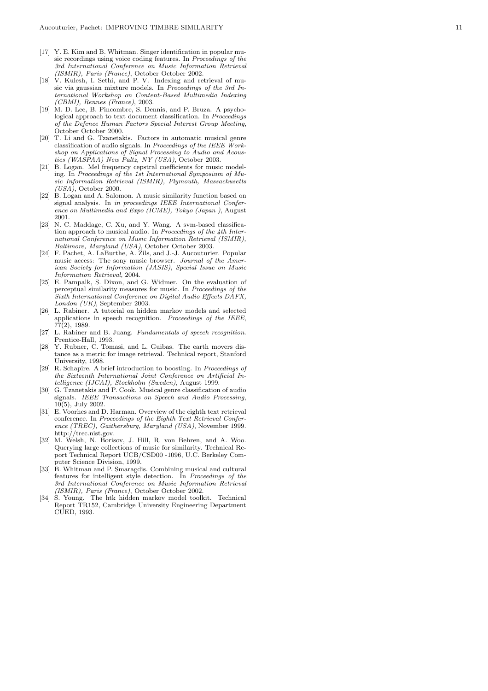- [17] Y. E. Kim and B. Whitman. Singer identification in popular music recordings using voice coding features. In Proceedings of the 3rd International Conference on Music Information Retrieval (ISMIR), Paris (France), October October 2002.
- [18] V. Kulesh, I. Sethi, and P. V. Indexing and retrieval of music via gaussian mixture models. In Proceedings of the 3rd International Workshop on Content-Based Multimedia Indexing (CBMI), Rennes (France), 2003.
- [19] M. D. Lee, B. Pincombre, S. Dennis, and P. Bruza. A psychological approach to text document classification. In Proceedings of the Defence Human Factors Special Interest Group Meeting , October October 2000.
- [20] T. Li and G. Tzanetakis. Factors in automatic musical genre classification of audio signals. In Proceedings of the IEEE Workshop on Applications of Signal Processing to Audio and Acoustics (WASPAA) New Paltz, NY (USA), October 2003.
- [21] B. Logan. Mel frequency cepstral coefficients for music modeling. In Proceedings of the 1st International Symposium of Music Information Retrieval (ISMIR), Plymouth, Massachusetts (USA), October 2000.
- [22] B. Logan and A. Salomon. A music similarity function based on signal analysis. In in proceedings IEEE International Conference on Multimedia and Expo (ICME), Tokyo (Japan), August 2001.
- [23] N. C. Maddage, C. Xu, and Y. Wang. A svm-based classification approach to musical audio. In Proceedings of the 4th International Conference on Music Information Retrieval (ISMIR), Baltimore, Maryland (USA), October October 2003.
- [24] F. Pachet, A. LaBurthe, A. Zils, and J.-J. Aucouturier. Popular music access: The sony music browser. Journal of the American Society for Information (JASIS), Special Issue on Music Information Retrieval, 2004.
- [25] E. Pampalk, S. Dixon, and G. Widmer. On the evaluation of perceptual similarity measures for music. In Proceedings of the Sixth International Conference on Digital Audio Effects DAFX, London (UK), September 2003.
- [26] L. Rabiner. A tutorial on hidden markov models and selected applications in speech recognition. Proceedings of the IEEE, 77(2), 1989.
- [27] L. Rabiner and B. Juang. Fundamentals of speech recognition . Prentice-Hall, 1993.
- [28] Y. Rubner, C. Tomasi, and L. Guibas. The earth movers distance as a metric for image retrieval. Technical report, Stanford University, 1998.
- [29] R. Schapire. A brief introduction to boosting. In Proceedings of the Sixteenth International Joint Conference on Artificial Intelligence (IJCAI), Stockholm (Sweden), August 1999.
- [30] G. Tzanetakis and P. Cook. Musical genre classification of audio signals. IEEE Transactions on Speech and Audio Processing , 10(5), July 2002.
- [31] E. Voorhes and D. Harman. Overview of the eighth text retrieval conference. In Proceedings of the Eighth Text Retrieval Conference (TREC), Gaithersburg, Maryland (USA), November 1999. http://trec.nist.gov.
- [32] M. Welsh, N. Borisov, J. Hill, R. von Behren, and A. Woo. Querying large collections of music for similarity. Technical Report Technical Report UCB/CSD00 -1096, U.C. Berkeley Computer Science Division, 1999.
- [33] B. Whitman and P. Smaragdis. Combining musical and cultural features for intelligent style detection. In Proceedings of the 3rd International Conference on Music Information Retrieval (ISMIR), Paris (France), October October 2002.
- [34] S. Young. The htk hidden markov model toolkit. Technica l Report TR152, Cambridge University Engineering Departmen t CUED, 1993.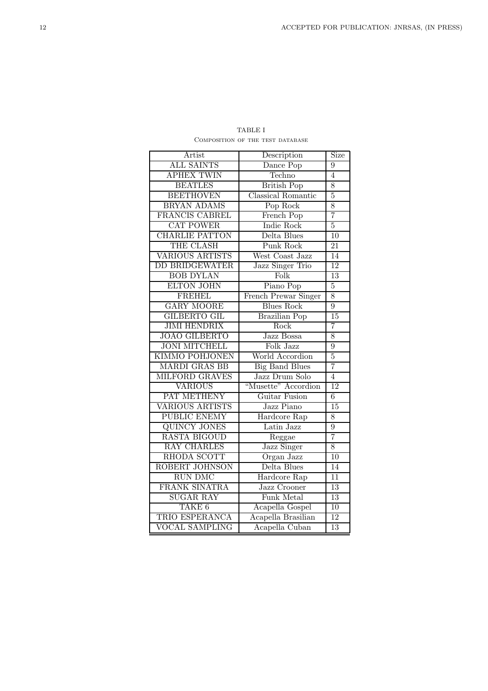| Artist                 | Description                          | Size            |
|------------------------|--------------------------------------|-----------------|
| <b>ALL SAINTS</b>      | Dance Pop                            | 9               |
| <b>APHEX TWIN</b>      | Techno                               | $\overline{4}$  |
| <b>BEATLES</b>         | <b>British Pop</b>                   | 8               |
| <b>BEETHOVEN</b>       | Classical Romantic                   | $\overline{5}$  |
| <b>BRYAN ADAMS</b>     | Pop Rock                             | 8               |
| FRANCIS CABREL         | French Pop                           | $\overline{7}$  |
| <b>CAT POWER</b>       | Indie Rock                           | 5               |
| <b>CHARLIE PATTON</b>  | Delta Blues                          | $\overline{10}$ |
| THE CLASH              | Punk Rock                            | 21              |
| <b>VARIOUS ARTISTS</b> | West Coast Jazz                      | 14              |
| <b>DD BRIDGEWATER</b>  | Jazz Singer Trio                     | 12              |
| <b>BOB DYLAN</b>       | Folk                                 | 13              |
| <b>ELTON JOHN</b>      | Piano Pop                            | $\overline{5}$  |
| <b>FREHEL</b>          | French Prewar Singer                 | 8               |
| <b>GARY MOORE</b>      | <b>Blues Rock</b>                    | $\overline{9}$  |
| <b>GILBERTO GIL</b>    | <b>Brazilian Pop</b>                 | $\overline{15}$ |
| <b>JIMI HENDRIX</b>    | Rock                                 | 7               |
| <b>JOAO GILBERTO</b>   | Jazz Bossa                           | 8               |
| <b>JONI MITCHELL</b>   | Folk Jazz                            | $\overline{9}$  |
| <b>KIMMO POHJONEN</b>  | World Accordion                      | $\overline{5}$  |
| <b>MARDI GRAS BB</b>   | <b>Big Band Blues</b>                | 7               |
| MILFORD GRAVES         | Jazz Drum Solo                       | $\overline{4}$  |
| <b>VARIOUS</b>         | "Musette" Accordion<br>Guitar Fusion | 12              |
| PAT METHENY            |                                      | $\overline{6}$  |
| <b>VARIOUS ARTISTS</b> | Jazz Piano                           | 15              |
| <b>PUBLIC ENEMY</b>    | Hardcore Rap                         | 8               |
| <b>QUINCY JONES</b>    | Latin Jazz                           | $\overline{9}$  |
| <b>RASTA BIGOUD</b>    | Reggae                               | $\overline{7}$  |
| <b>RAY CHARLES</b>     | <b>Jazz Singer</b>                   | 8               |
| RHODA SCOTT            | Organ Jazz                           | 10              |
| ROBERT JOHNSON         | Delta Blues                          | 14              |
| <b>RUN DMC</b>         | Hardcore Rap                         | $\overline{11}$ |
| FRANK SINATRA          | Jazz Crooner                         | $\overline{13}$ |
| <b>SUGAR RAY</b>       | Funk Metal                           | 13              |
| TAKE <sub>6</sub>      | Acapella Gospel                      | $\overline{10}$ |
| TRIO ESPERANCA         | Acapella Brasilian                   | $\overline{12}$ |
| <b>VOCAL SAMPLING</b>  | Acapella Cuban                       | 13              |

TABLE I Composition of the test database